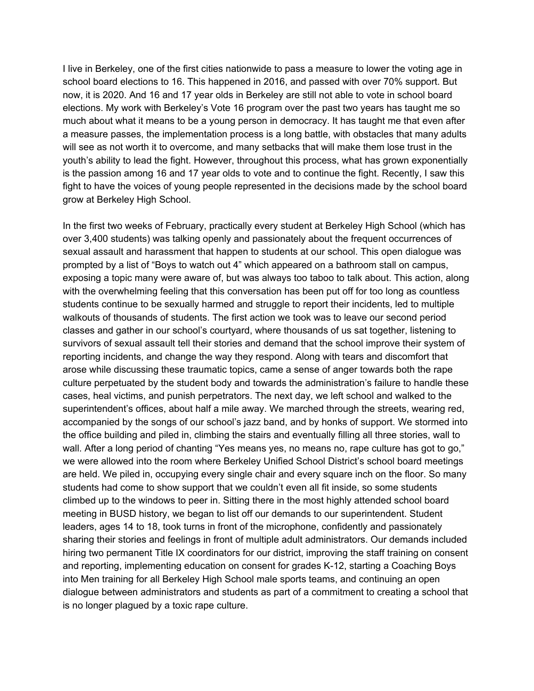I live in Berkeley, one of the first cities nationwide to pass a measure to lower the voting age in school board elections to 16. This happened in 2016, and passed with over 70% support. But now, it is 2020. And 16 and 17 year olds in Berkeley are still not able to vote in school board elections. My work with Berkeley's Vote 16 program over the past two years has taught me so much about what it means to be a young person in democracy. It has taught me that even after a measure passes, the implementation process is a long battle, with obstacles that many adults will see as not worth it to overcome, and many setbacks that will make them lose trust in the youth's ability to lead the fight. However, throughout this process, what has grown exponentially is the passion among 16 and 17 year olds to vote and to continue the fight. Recently, I saw this fight to have the voices of young people represented in the decisions made by the school board grow at Berkeley High School.

In the first two weeks of February, practically every student at Berkeley High School (which has over 3,400 students) was talking openly and passionately about the frequent occurrences of sexual assault and harassment that happen to students at our school. This open dialogue was prompted by a list of "Boys to watch out 4" which appeared on a bathroom stall on campus, exposing a topic many were aware of, but was always too taboo to talk about. This action, along with the overwhelming feeling that this conversation has been put off for too long as countless students continue to be sexually harmed and struggle to report their incidents, led to multiple walkouts of thousands of students. The first action we took was to leave our second period classes and gather in our school's courtyard, where thousands of us sat together, listening to survivors of sexual assault tell their stories and demand that the school improve their system of reporting incidents, and change the way they respond. Along with tears and discomfort that arose while discussing these traumatic topics, came a sense of anger towards both the rape culture perpetuated by the student body and towards the administration's failure to handle these cases, heal victims, and punish perpetrators. The next day, we left school and walked to the superintendent's offices, about half a mile away. We marched through the streets, wearing red, accompanied by the songs of our school's jazz band, and by honks of support. We stormed into the office building and piled in, climbing the stairs and eventually filling all three stories, wall to wall. After a long period of chanting "Yes means yes, no means no, rape culture has got to go," we were allowed into the room where Berkeley Unified School District's school board meetings are held. We piled in, occupying every single chair and every square inch on the floor. So many students had come to show support that we couldn't even all fit inside, so some students climbed up to the windows to peer in. Sitting there in the most highly attended school board meeting in BUSD history, we began to list off our demands to our superintendent. Student leaders, ages 14 to 18, took turns in front of the microphone, confidently and passionately sharing their stories and feelings in front of multiple adult administrators. Our demands included hiring two permanent Title IX coordinators for our district, improving the staff training on consent and reporting, implementing education on consent for grades K-12, starting a Coaching Boys into Men training for all Berkeley High School male sports teams, and continuing an open dialogue between administrators and students as part of a commitment to creating a school that is no longer plagued by a toxic rape culture.